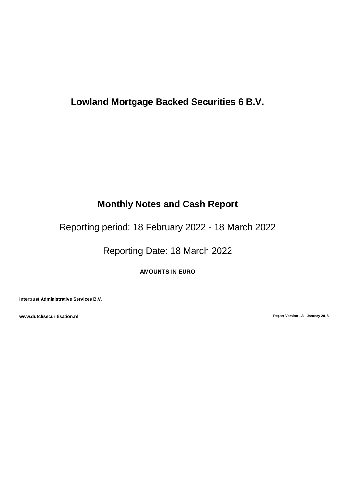# **Lowland Mortgage Backed Securities 6 B.V.**

# **Monthly Notes and Cash Report**

Reporting period: 18 February 2022 - 18 March 2022

Reporting Date: 18 March 2022

**AMOUNTS IN EURO**

**Intertrust Administrative Services B.V.**

**www.dutchsecuritisation.nl Report Version 1.3 - January 2018**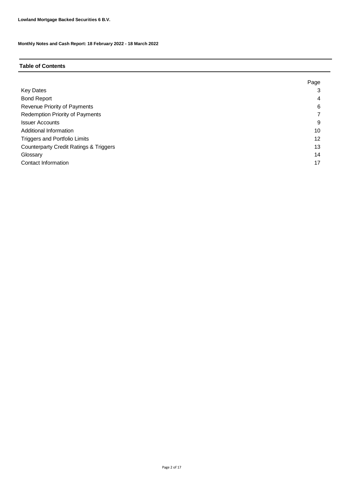# **Table of Contents**

|                                                   | Page |
|---------------------------------------------------|------|
| <b>Key Dates</b>                                  | 3    |
| <b>Bond Report</b>                                | 4    |
| Revenue Priority of Payments                      | 6    |
| <b>Redemption Priority of Payments</b>            |      |
| <b>Issuer Accounts</b>                            | 9    |
| Additional Information                            | 10   |
| <b>Triggers and Portfolio Limits</b>              | 12   |
| <b>Counterparty Credit Ratings &amp; Triggers</b> | 13   |
| Glossary                                          | 14   |
| Contact Information                               | 17   |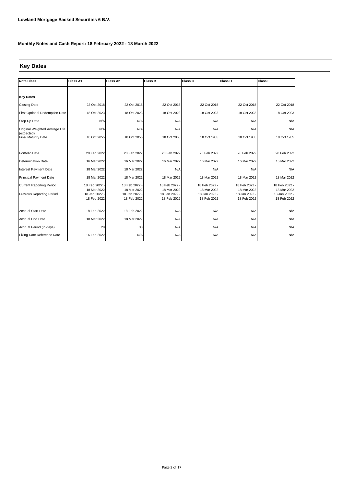## **Key Dates**

| <b>Note Class</b>                        | Class A2<br><b>Class B</b><br>Class A1<br>Class C |                            |                            | Class D                    |                            |                              |
|------------------------------------------|---------------------------------------------------|----------------------------|----------------------------|----------------------------|----------------------------|------------------------------|
|                                          |                                                   |                            |                            |                            |                            |                              |
| <b>Key Dates</b>                         |                                                   |                            |                            |                            |                            |                              |
| <b>Closing Date</b>                      | 22 Oct 2018                                       | 22 Oct 2018                | 22 Oct 2018                | 22 Oct 2018                | 22 Oct 2018                | 22 Oct 2018                  |
| First Optional Redemption Date           | 18 Oct 2023                                       | 18 Oct 2023                | 18 Oct 2023                | 18 Oct 2023                | 18 Oct 2023                | 18 Oct 2023                  |
| Step Up Date                             | N/A                                               | N/A                        | N/A                        | N/A                        | N/A                        | N/A                          |
| Original Weighted Average Life           | N/A                                               | N/A                        | N/A                        | N/A                        | N/A                        | N/A                          |
| (expected)<br><b>Final Maturity Date</b> | 18 Oct 2055                                       | 18 Oct 2055                | 18 Oct 2055                | 18 Oct 1955                | 18 Oct 1955                | 18 Oct 1955                  |
|                                          |                                                   |                            |                            |                            |                            |                              |
| Portfolio Date                           | 28 Feb 2022                                       | 28 Feb 2022                | 28 Feb 2022                | 28 Feb 2022                | 28 Feb 2022                | 28 Feb 2022                  |
| <b>Determination Date</b>                | 16 Mar 2022                                       | 16 Mar 2022                | 16 Mar 2022                | 16 Mar 2022                | 16 Mar 2022                | 16 Mar 2022                  |
| Interest Payment Date                    | 18 Mar 2022                                       | 18 Mar 2022                | N/A                        | N/A                        | N/A                        | N/A                          |
| <b>Principal Payment Date</b>            | 18 Mar 2022                                       | 18 Mar 2022                | 18 Mar 2022                | 18 Mar 2022                | 18 Mar 2022                | 18 Mar 2022                  |
| <b>Current Reporting Period</b>          | 18 Feb 2022                                       | 18 Feb 2022                | 18 Feb 2022                | 18 Feb 2022                | 18 Feb 2022                | 18 Feb 2022 -                |
| Previous Reporting Period                | 18 Mar 2022<br>18 Jan 2022                        | 18 Mar 2022<br>18 Jan 2022 | 18 Mar 2022<br>18 Jan 2022 | 18 Mar 2022<br>18 Jan 2022 | 18 Mar 2022<br>18 Jan 2022 | 18 Mar 2022<br>18 Jan 2022 - |
|                                          | 18 Feb 2022                                       | 18 Feb 2022                | 18 Feb 2022                | 18 Feb 2022                | 18 Feb 2022                | 18 Feb 2022                  |
|                                          |                                                   |                            |                            |                            |                            |                              |
| <b>Accrual Start Date</b>                | 18 Feb 2022                                       | 18 Feb 2022                | N/A                        | N/A                        | N/A                        | N/A                          |
| <b>Accrual End Date</b>                  | 18 Mar 2022                                       | 18 Mar 2022                | N/A                        | N/A                        | N/A                        | N/A                          |
| Accrual Period (in days)                 | 28                                                | 30                         | N/A                        | N/A                        | N/A                        | N/A                          |
| Fixing Date Reference Rate               | 16 Feb 2022                                       | N/A                        | N/A                        | N/A                        | N/A                        | N/A                          |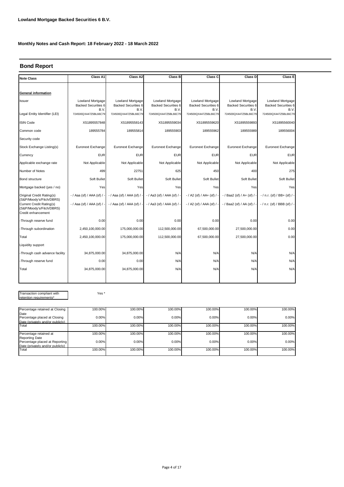## **Bond Report**

| <b>Note Class</b>                                                          | Class A1                                               | Class A2                                               | Class B                                         | Class C                                                | Class D                                                | Class E                                                |
|----------------------------------------------------------------------------|--------------------------------------------------------|--------------------------------------------------------|-------------------------------------------------|--------------------------------------------------------|--------------------------------------------------------|--------------------------------------------------------|
|                                                                            |                                                        |                                                        |                                                 |                                                        |                                                        |                                                        |
| General information                                                        |                                                        |                                                        |                                                 |                                                        |                                                        |                                                        |
| Issuer                                                                     | Lowland Mortgage<br><b>Backed Securities 6</b><br>B.V. | Lowland Mortgage<br><b>Backed Securities 6</b><br>B.V. | Lowland Mortgage<br>Backed Securities 6<br>B.V. | Lowland Mortgage<br><b>Backed Securities 6</b><br>B.V. | Lowland Mortgage<br><b>Backed Securities 6</b><br>B.V. | Lowland Mortgage<br><b>Backed Securities 6</b><br>B.V. |
| Legal Entity Identifier (LEI)                                              | 724500QX447Z5BL66C79                                   | 724500QX447Z5BL66C79                                   | 724500QX447Z5BL66C79                            | 724500QX447Z5BL66C79                                   | 724500QX447Z5BL66C79                                   | 724500QX447Z5BL66C79                                   |
| <b>ISIN Code</b>                                                           | XS1895557848                                           | XS1895558143                                           | XS1895559034                                    | XS1895559620                                           | XS1895559893                                           | XS1895560040                                           |
| Common code                                                                | 189555784                                              | 189555814                                              | 189555903                                       | 189555962                                              | 189555989                                              | 189556004                                              |
| Security code                                                              |                                                        |                                                        |                                                 |                                                        |                                                        |                                                        |
| Stock Exchange Listing(s)                                                  | Euronext Exchange                                      | Euronext Exchange                                      | Euronext Exchange                               | Euronext Exchange                                      | Euronext Exchange                                      | Euronext Exchange                                      |
| Currency                                                                   | <b>EUR</b>                                             | <b>EUR</b>                                             | <b>EUR</b>                                      | <b>EUR</b>                                             | <b>EUR</b>                                             | <b>EUR</b>                                             |
| Applicable exchange rate                                                   | Not Applicable                                         | Not Applicable                                         | Not Applicable                                  | Not Applicable                                         | Not Applicable                                         | Not Applicable                                         |
| Number of Notes                                                            | 499                                                    | 22751                                                  | 625                                             | 450                                                    | 400                                                    | 275                                                    |
| Bond structure                                                             | Soft Bullet                                            | Soft Bullet                                            | Soft Bullet                                     | Soft Bullet                                            | Soft Bullet                                            | Soft Bullet                                            |
| Mortgage backed (yes / no)                                                 | Yes                                                    | Yes                                                    | Yes                                             | Yes                                                    | Yes                                                    | Yes                                                    |
| Original Credit Rating(s)<br>(S&P/Moody's/Fitch/DBRS)                      | $-$ / Aaa (sf) / AAA (sf) /                            | $-$ / Aaa (sf) / AAA (sf) /                            | - / Aa3 (sf) / AAA (sf) / -                     | $-$ / A2 (sf) / AA+ (sf) / $-$                         | - / Baa2 (sf) / A+ (sf) / -                            | $-$ / n.r. (sf) / BB+ (sf) / -                         |
| Current Credit Rating(s)<br>(S&P/Moody's/Fitch/DBRS)<br>Credit enhancement | - / Aaa (sf) / AAA (sf) / -                            | $-$ / Aaa (sf) / AAA (sf) /                            | $-$ / Aa3 (sf) / AAA (sf) / $-$                 | - / A2 (sf) / AAA (sf) / -                             | - / Baa2 (sf) / AA (sf) / -                            | - / n.r. (sf) / BBB (sf) / -                           |
| -Through reserve fund                                                      | 0.00                                                   | 0.00                                                   | 0.00                                            | 0.00                                                   | 0.00                                                   | 0.00                                                   |
| -Through subordination                                                     | 2,450,100,000.00                                       | 175,000,000.00                                         | 112,500,000.00                                  | 67,500,000.00                                          | 27,500,000.00                                          | 0.00                                                   |
| Total                                                                      | 2,450,100,000.00                                       | 175,000,000.00                                         | 112,500,000.00                                  | 67,500,000.00                                          | 27,500,000.00                                          | 0.00                                                   |
| Liquidity support                                                          |                                                        |                                                        |                                                 |                                                        |                                                        |                                                        |
| -Through cash advance facility                                             | 34,875,000.00                                          | 34,875,000.00                                          | N/A                                             | N/A                                                    | N/A                                                    | N/A                                                    |
| -Through reserve fund                                                      | 0.00                                                   | 0.00                                                   | N/A                                             | N/A                                                    | N/A                                                    | N/A                                                    |
| Total                                                                      | 34,875,000.00                                          | 34,875,000.00                                          | N/A                                             | N/A                                                    | N/A                                                    | N/A                                                    |
|                                                                            |                                                        |                                                        |                                                 |                                                        |                                                        |                                                        |

Transaction compliant with retention requirements\*

Yes \*

| Percentage retained at Closing                          | 100.00% | 100.00% | 100.00% | 100.00% | 100.00% | 100.00% |
|---------------------------------------------------------|---------|---------|---------|---------|---------|---------|
| Date<br>Percentage placed at Closing                    | 0.00%   | 0.00%   | 0.00%   | 0.00%   | 0.00%   | 0.00%   |
| Date (privately and/or publicly)                        |         |         |         |         |         |         |
| Total                                                   | 100.00% | 100.00% | 100.00% | 100.00% | 100.00% | 100.00% |
| Percentage retained at                                  | 100.00% | 100.00% | 100.00% | 100.00% | 100.00% | 100.00% |
| <b>Reporting Date</b><br>Percentage placed at Reporting | 0.00%   | 0.00%   | 0.00%   | 0.00%   | 0.00%   | 0.00%   |
| Date (privately and/or publicly)<br>Total               | 100.00% | 100.00% | 100.00% | 100.00% | 100.00% | 100.00% |
|                                                         |         |         |         |         |         |         |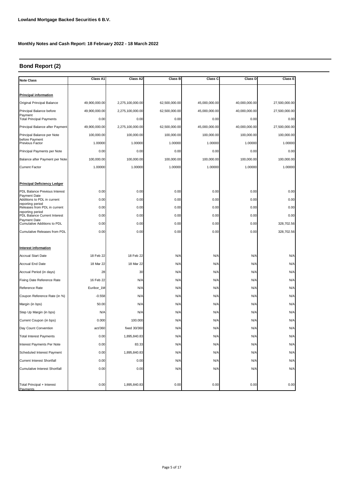# **Bond Report (2)**

| <b>Note Class</b>                                  | Class A1      | Class A2         | Class B       | Class C       | Class D       | Class E       |
|----------------------------------------------------|---------------|------------------|---------------|---------------|---------------|---------------|
|                                                    |               |                  |               |               |               |               |
| <b>Principal information</b>                       |               |                  |               |               |               |               |
| Original Principal Balance                         | 49,900,000.00 | 2,275,100,000.00 | 62,500,000.00 | 45,000,000.00 | 40,000,000.00 | 27,500,000.00 |
| Principal Balance before<br>Payment                | 49,900,000.00 | 2,275,100,000.00 | 62,500,000.00 | 45,000,000.00 | 40,000,000.00 | 27,500,000.00 |
| <b>Total Principal Payments</b>                    | 0.00          | 0.00             | 0.00          | 0.00          | 0.00          | 0.00          |
| Principal Balance after Payment                    | 49,900,000.00 | 2,275,100,000.00 | 62,500,000.00 | 45,000,000.00 | 40,000,000.00 | 27,500,000.00 |
| Principal Balance per Note                         | 100,000.00    | 100,000.00       | 100,000.00    | 100,000.00    | 100,000.00    | 100,000.00    |
| before Pavment<br>Previous Factor                  | 1.00000       | 1.00000          | 1.00000       | 1.00000       | 1.00000       | 1.00000       |
| Principal Payments per Note                        | 0.00          | 0.00             | 0.00          | 0.00          | 0.00          | 0.00          |
| Balance after Payment per Note                     | 100,000.00    | 100,000.00       | 100,000.00    | 100,000.00    | 100,000.00    | 100,000.00    |
| <b>Current Factor</b>                              | 1.00000       | 1.00000          | 1.00000       | 1.00000       | 1.00000       | 1.00000       |
|                                                    |               |                  |               |               |               |               |
| <b>Principal Deficiency Ledger</b>                 |               |                  |               |               |               |               |
| PDL Balance Previous Interest                      | 0.00          | 0.00             | 0.00          | 0.00          | 0.00          | 0.00          |
| Payment Date<br>Additions to PDL in current        | 0.00          | 0.00             | 0.00          | 0.00          | 0.00          | 0.00          |
| reporting period<br>Releases from PDL in current   | 0.00          | 0.00             | 0.00          | 0.00          | 0.00          | 0.00          |
| reporting period<br>PDL Balance Current Interest   | 0.00          | 0.00             | 0.00          | 0.00          | 0.00          | 0.00          |
| Payment Date<br><b>Cumulative Additions to PDL</b> | 0.00          | 0.00             | 0.00          | 0.00          | 0.00          | 328,702.56    |
| Cumulative Releases from PDL                       | 0.00          | 0.00             | 0.00          | 0.00          | 0.00          | 328,702.56    |
|                                                    |               |                  |               |               |               |               |
| Interest information                               |               |                  |               |               |               |               |
| <b>Accrual Start Date</b>                          | 18 Feb 22     | 18 Feb 22        | N/A           | N/A           | N/A           | N/A           |
| Accrual End Date                                   | 18 Mar 22     | 18 Mar 22        | N/A           | N/A           | N/A           | N/A           |
| Accrual Period (in days)                           | 28            | 30               | N/A           | N/A           | N/A           | N/A           |
| Fixing Date Reference Rate                         | 16 Feb 22     | N/A              | N/A           | N/A           | N/A           | N/A           |
| Reference Rate                                     | Euribor_1M    | N/A              | N/A           | N/A           | N/A           | N/A           |
| Coupon Reference Rate (in %)                       | $-0.558$      | N/A              | N/A           | N/A           | N/A           | N/A           |
| Margin (in bps)                                    | 50.00         | N/A              | N/A           | N/A           | N/A           | N/A           |
| Step Up Margin (in bps)                            | N/A           | N/A              | N/A           | N/A           | N/A           | N/A           |
| Current Coupon (in bps)                            | 0.000         | 100.000          | N/A           | N/A           | N/A           | N/A           |
| Day Count Convention                               | act/360       | fixed 30/360     | N/A           | N/A           | N/A           | N/A           |
| <b>Total Interest Payments</b>                     | 0.00          | 1,895,840.83     | N/A           | N/A           | N/A           | N/A           |
| Interest Payments Per Note                         | 0.00          | 83.33            | N/A           | N/A           | N/A           | N/A           |
| Scheduled Interest Payment                         | 0.00          | 1,895,840.83     | N/A           | N/A           | N/A           | N/A           |
| <b>Current Interest Shortfall</b>                  | 0.00          | 0.00             | N/A           | N/A           | N/A           | N/A           |
| Cumulative Interest Shortfall                      | 0.00          | 0.00             | N/A           | N/A           | N/A           | N/A           |
|                                                    |               |                  |               |               |               |               |
| Total Principal + Interest                         | 0.00          | 1,895,840.83     | 0.00          | 0.00          | 0.00          | 0.00          |
| Payments                                           |               |                  |               |               |               |               |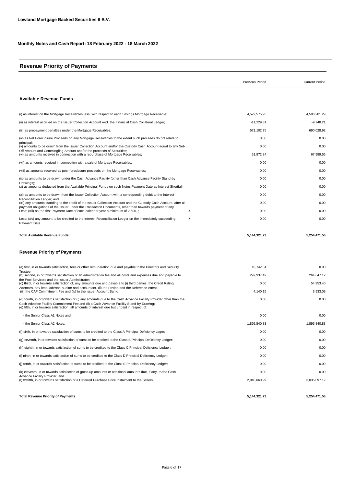## **Revenue Priority of Payments**

|                                                                                                                                                                                                                                                                                                               | <b>Previous Period</b> | <b>Current Period</b> |
|---------------------------------------------------------------------------------------------------------------------------------------------------------------------------------------------------------------------------------------------------------------------------------------------------------------|------------------------|-----------------------|
| <b>Available Revenue Funds</b>                                                                                                                                                                                                                                                                                |                        |                       |
| (i) as interest on the Mortgage Receivables less, with respect to each Savings Mortgage Receivable;                                                                                                                                                                                                           | 4,522,575.95           | 4,506,201.29          |
| (ii) as interest accrued on the Issuer Collection Account excl. the Financial Cash Collateral Ledger;                                                                                                                                                                                                         | $-11,229.81$           | $-9,748.21$           |
| (iii) as prepayment penalties under the Mortgage Receivables;                                                                                                                                                                                                                                                 | 571,102.75             | 690,028.92            |
| (iv) as Net Foreclosure Proceeds on any Mortgage Receivables to the extent such proceeds do not relate to                                                                                                                                                                                                     | 0.00                   | 0.00                  |
| principal:<br>(v) amounts to be drawn from the Issuer Collection Account and/or the Custody Cash Account equal to any Set-                                                                                                                                                                                    | 0.00                   | 0.00                  |
| Off Amount and Commingling Amount and/or the proceeds of Securities;<br>(vi) as amounts received in connection with a repurchase of Mortgage Receivables;                                                                                                                                                     | 61.872.84              | 67.989.56             |
| (vii) as amounts received in connection with a sale of Mortgage Receivables;                                                                                                                                                                                                                                  | 0.00                   | 0.00                  |
| (viii) as amounts received as post-foreclosure proceeds on the Mortgage Receivables;                                                                                                                                                                                                                          | 0.00                   | 0.00                  |
| (ix) as amounts to be drawn under the Cash Advance Facility (other than Cash Advance Facility Stand-by                                                                                                                                                                                                        | 0.00                   | 0.00                  |
| Drawings);<br>(x) as amounts deducted from the Available Principal Funds on such Notes Payment Date as Interest Shortfall;                                                                                                                                                                                    | 0.00                   | 0.00                  |
| (xi) as amounts to be drawn from the Issuer Collection Account with a corresponding debit to the Interest                                                                                                                                                                                                     | 0.00                   | 0.00                  |
| Reconciliation Ledger; and<br>(xii) any amounts standing to the credit of the Issuer Collection Account and the Custody Cash Account, after all                                                                                                                                                               | 0.00                   | 0.00                  |
| payment obligations of the Issuer under the Transaction Documents, other than towards payment of any<br>-/-<br>Less; (xiii) on the first Payment Date of each calendar year a minimum of 2,500,-;                                                                                                             | 0.00                   | 0.00                  |
| Less: (xiv) any amount to be credited to the Interest Reconciliation Ledger on the immediately succeeding<br>-/-<br>Payment Date.                                                                                                                                                                             | 0.00                   | 0.00                  |
| Total Available Revenue Funds<br><b>Revenue Priority of Payments</b>                                                                                                                                                                                                                                          | 5, 144, 321. 73        | 5,254,471.56          |
| (a) first, in or towards satisfaction, fees or other remuneration due and payable to the Directors and Security                                                                                                                                                                                               | 10,742.34              | 0.00                  |
| Trustee:                                                                                                                                                                                                                                                                                                      |                        | 264,647.12            |
| (b) second, in or towards satisfaction of an administration fee and all costs and expenses due and payable to<br>the Pool Servicers and the Issuer Administrator;                                                                                                                                             | 292,937.42             |                       |
| (c) third, in or towards satisfaction of, any amounts due and payable to (i) third parties, the Credit Rating<br>Agencies, any legal advisor, auditor and accountant, (ii) the Paying and the Reference Agent,                                                                                                | 0.00                   | 54,953.40             |
| (iii) the CAF Commitment Fee and (iv) to the Issuer Account Bank;                                                                                                                                                                                                                                             | 4,140.15               | 3,933.09              |
| (d) fourth, in or towards satisfaction of (i) any amounts due to the Cash Advance Facility Provider other than the<br>Cash Advance Facility Commitment Fee and (ii) a Cash Advance Facility Stand-by Drawing;<br>(e) fifth, in or towards satisfaction, all amounts of interest due but unpaid in respect of: | 0.00                   | 0.00                  |
| - the Senior Class A1 Notes and                                                                                                                                                                                                                                                                               | 0.00                   | 0.00                  |
| - the Senior Class A2 Notes;                                                                                                                                                                                                                                                                                  | 1.895.840.83           | 1,895,840.83          |
| (f) sixth, in or towards satisfaction of sums to be credited to the Class A Principal Deficiency Leger;                                                                                                                                                                                                       | 0.00                   | 0.00                  |
| (q) seventh, in or towards satisfaction of sums to be credited to the Class B Principal Deficiency Ledger:                                                                                                                                                                                                    | 0.00                   | 0.00                  |
| (h) eighth, in or towards satisfaction of sums to be credited to the Class C Principal Deficiency Ledger;                                                                                                                                                                                                     | 0.00                   | 0.00                  |
| (i) ninth, in or towards satisfaction of sums to be credited to the Class D Principal Deficiency Ledger;                                                                                                                                                                                                      | 0.00                   | 0.00                  |
| (j) tenth, in or towards satisfaction of sums to be credited to the Class E Principal Deficiency Ledger;                                                                                                                                                                                                      | 0.00                   | 0.00                  |
| (k) eleventh, in or towards satisfaction of gross-up amounts or additional amounts due, if any, to the Cash                                                                                                                                                                                                   | 0.00                   | 0.00                  |
| Advance Facility Provider; and<br>(I) twelfth, in or towards satisfaction of a Deferred Purchase Price Instalment to the Sellers.                                                                                                                                                                             | 2,940,660.99           | 3,035,097.12          |
| <b>Total Revenue Priority of Payments</b>                                                                                                                                                                                                                                                                     | 5,144,321.73           | 5,254,471.56          |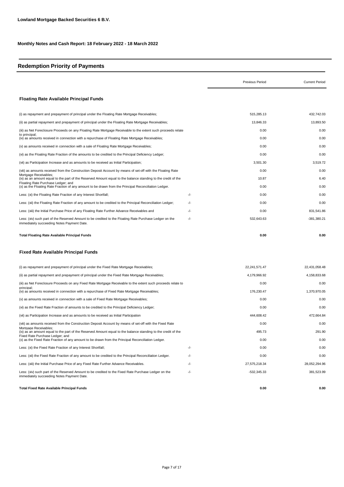## **Redemption Priority of Payments**

|                                                                                                                                                                           |     | <b>Previous Period</b> | <b>Current Period</b> |
|---------------------------------------------------------------------------------------------------------------------------------------------------------------------------|-----|------------------------|-----------------------|
| <b>Floating Rate Available Principal Funds</b>                                                                                                                            |     |                        |                       |
| (i) as repayment and prepayment of principal under the Floating Rate Mortgage Receivables;                                                                                |     | 515,285.13             | 432,742.03            |
| (ii) as partial repayment and prepayment of principal under the Floating Rate Mortgage Receivables;                                                                       |     | 13,846.33              | 13,893.50             |
| (iii) as Net Foreclosure Proceeds on any Floating Rate Mortgage Receivable to the extent such proceeds relate                                                             |     | 0.00                   | 0.00                  |
| to principal;<br>(iv) as amounts received in connection with a repurchase of Floating Rate Mortgage Receivables;                                                          |     | 0.00                   | 0.00                  |
| (v) as amounts received in connection with a sale of Floating Rate Mortgage Receivables;                                                                                  |     | 0.00                   | 0.00                  |
| (vi) as the Floating Rate Fraction of the amounts to be credited to the Principal Deficiency Ledger;                                                                      |     | 0.00                   | 0.00                  |
| (vii) as Participation Increase and as amounts to be received as Initial Participation;                                                                                   |     | 3,501.30               | 3,519.72              |
| (viii) as amounts received from the Construction Deposit Account by means of set-off with the Floating Rate                                                               |     | 0.00                   | 0.00                  |
| Mortgage Receivables;<br>(ix) as an amount equal to the part of the Reserved Amount equal to the balance standing to the credit of the                                    |     | 10.87                  | 6.40                  |
| Floating Rate Purchase Ledger; and<br>(x) as the Floating Rate Fraction of any amount to be drawn from the Principal Reconciliation Ledger.                               |     | 0.00                   | 0.00                  |
| Less: (xi) the Floating Rate Fraction of any Interest Shortfall;                                                                                                          | -/- | 0.00                   | 0.00                  |
| Less: (xii) the Floating Rate Fraction of any amount to be credited to the Principal Reconciliation Ledger;                                                               | -/- | 0.00                   | 0.00                  |
| Less: (xiii) the Initial Purchase Price of any Floating Rate Further Advance Receivables and                                                                              | -/- | 0.00                   | 831,541.86            |
| Less: (xiv) such part of the Reserved Amount to be credited to the Floating Rate Purchase Ledger on the<br>immediately succeeding Notes Payment Date.                     | -/- | 532.643.63             | -381,380.21           |
| <b>Total Floating Rate Available Principal Funds</b>                                                                                                                      |     | 0.00                   | 0.00                  |
| <b>Fixed Rate Available Principal Funds</b>                                                                                                                               |     |                        |                       |
| (i) as repayment and prepayment of principal under the Fixed Rate Mortgage Receivables;                                                                                   |     | 22, 241, 571. 47       | 22,431,058.48         |
| (ii) as partial repayment and prepayment of principal under the Fixed Rate Mortgage Receivables;                                                                          |     | 4,179,966.92           | 4,158,833.68          |
| (iii) as Net Foreclosure Proceeds on any Fixed Rate Mortgage Receivable to the extent such proceeds relate to                                                             |     | 0.00                   | 0.00                  |
| principal;<br>(iv) as amounts received in connection with a repurchase of Fixed Rate Mortgage Receivables;                                                                |     | 176,230.47             | 1,370,970.05          |
| (v) as amounts received in connection with a sale of Fixed Rate Mortgage Receivables;                                                                                     |     | 0.00                   | 0.00                  |
| (vi) as the Fixed Rate Fraction of amounts to be credited to the Principal Deficiency Ledger;                                                                             |     | 0.00                   | 0.00                  |
| (vii) as Participation Increase and as amounts to be received as Initial Participation                                                                                    |     | 444.608.42             | 472,664.84            |
| (viii) as amounts received from the Construction Deposit Account by means of set-off with the Fixed Rate                                                                  |     | 0.00                   | 0.00                  |
| Mortgage Receivables;<br>(ix) as an amount equal to the part of the Reserved Amount equal to the balance standing to the credit of the<br>Fixed Rate Purchase Ledger; and |     | 495.73                 | 291.90                |
| (x) as the Fixed Rate Fraction of any amount to be drawn from the Principal Reconciliation Ledger.                                                                        |     | 0.00                   | 0.00                  |
| Less: (xi) the Fixed Rate Fraction of any Interest Shortfall;                                                                                                             | -/- | 0.00                   | 0.00                  |
| Less: (xii) the Fixed Rate Fraction of any amount to be credited to the Principal Reconciliation Ledger.                                                                  | -/- | 0.00                   | 0.00                  |
| Less: (xiii) the Initial Purchase Price of any Fixed Rate Further Advance Receivables.                                                                                    | -/- | 27,575,218.34          | 28,052,294.96         |
| Less: (xiv) such part of the Reserved Amount to be credited to the Fixed Rate Purchase Ledger on the<br>immediately succeeding Notes Payment Date.                        | -/- | $-532,345.33$          | 381,523.99            |
| <b>Total Fixed Rate Available Principal Funds</b>                                                                                                                         |     | 0.00                   | 0.00                  |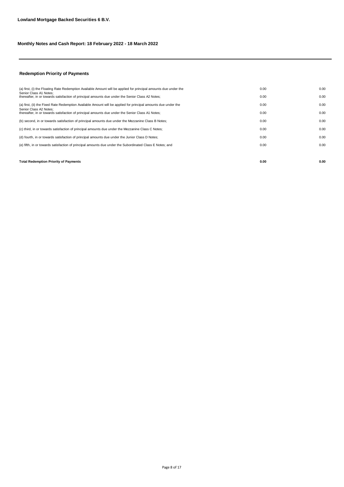## **Redemption Priority of Payments**

| <b>Total Redemption Priority of Payments</b>                                                                               | 0.00 | 0.00 |
|----------------------------------------------------------------------------------------------------------------------------|------|------|
|                                                                                                                            |      |      |
| (e) fifth, in or towards satisfaction of principal amounts due under the Subordinated Class E Notes; and                   | 0.00 | 0.00 |
| (d) fourth, in or towards satisfaction of principal amounts due under the Junior Class D Notes;                            | 0.00 | 0.00 |
| (c) third, in or towards satisfaction of principal amounts due under the Mezzanine Class C Notes;                          | 0.00 | 0.00 |
| (b) second, in or towards satisfaction of principal amounts due under the Mezzanine Class B Notes;                         | 0.00 | 0.00 |
| Senior Class A2 Notes:<br>thereafter, in or towards satisfaction of principal amounts due under the Senior Class A1 Notes; | 0.00 | 0.00 |
| (a) first, (ii) the Fixed Rate Redemption Available Amount will be applied for principal amounts due under the             | 0.00 | 0.00 |
| Senior Class A1 Notes:<br>thereafter, in or towards satisfaction of principal amounts due under the Senior Class A2 Notes; | 0.00 | 0.00 |
| (a) first, (i) the Floating Rate Redemption Available Amount will be applied for principal amounts due under the           | 0.00 | 0.00 |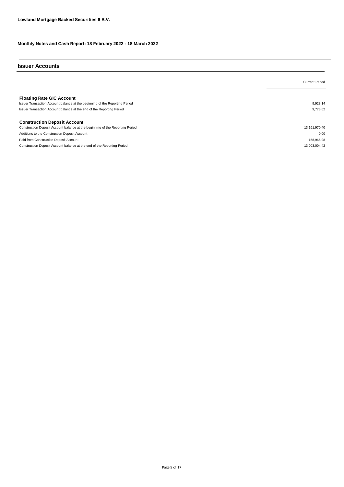#### **Issuer Accounts**

|                                                                                                                                                                                          | <b>Current Period</b> |
|------------------------------------------------------------------------------------------------------------------------------------------------------------------------------------------|-----------------------|
| <b>Floating Rate GIC Account</b><br>Issuer Transaction Account balance at the beginning of the Reporting Period<br>Issuer Transaction Account balance at the end of the Reporting Period | 9.928.14<br>9.773.62  |
| <b>Construction Deposit Account</b>                                                                                                                                                      |                       |
| Construction Deposit Account balance at the beginning of the Reporting Period                                                                                                            | 13,161,970.40         |
| Additions to the Construction Deposit Account                                                                                                                                            | 0.00                  |
| Paid from Construction Deposit Account                                                                                                                                                   | -158,965.98           |
| Construction Deposit Account balance at the end of the Reporting Period                                                                                                                  | 13.003.004.42         |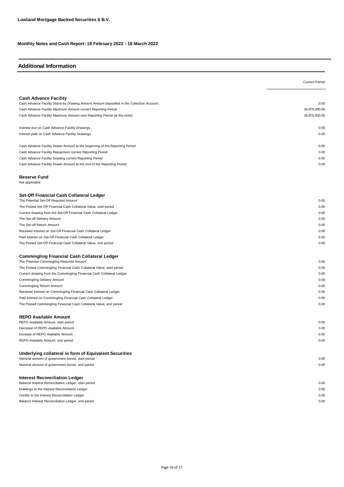# **Additional Information**

|                                                                                                            | <b>Current Period</b> |
|------------------------------------------------------------------------------------------------------------|-----------------------|
|                                                                                                            |                       |
| <b>Cash Advance Facility</b>                                                                               |                       |
| Cash Advance Facility Stand-by Drawing Amount Amount deposited in the Collection Account:                  | 0.00                  |
| Cash Advance Facility Maximum Amount current Reporting Period                                              | 34,875,000.00         |
| Cash Advance Facility Maximum Amount next Reporting Period (at the most)                                   | 34,875,000.00         |
| Interest due on Cash Advance Facility Drawings                                                             | 0.00                  |
| Interest paid on Cash Advance Facility Drawings                                                            | 0.00                  |
| Cash Advance Facility Drawn Amount at the beginning of the Reporting Period                                | 0.00                  |
| Cash Advance Facility Repayment current Reporting Period                                                   | 0.00                  |
| Cash Advance Facility Drawing current Reporting Period                                                     | 0.00                  |
| Cash Advance Facility Drawn Amount at the end of the Reporting Period                                      | 0.00                  |
| <b>Reserve Fund</b>                                                                                        |                       |
| Not applicable                                                                                             |                       |
| Set-Off Financial Cash Collateral Ledger<br>The Potential Set-Off Required Amount                          | 0.00                  |
| The Posted Set-Off Financial Cash Collateral Value, start period                                           | 0.00                  |
| Current drawing from the Set-Off Financial Cash Collateral Ledger                                          | 0.00                  |
| The Set-off Delivery Amount                                                                                | 0.00                  |
| The Set-off Return Amount                                                                                  | 0.00                  |
| Received Interest on Set-Off Financial Cash Collateral Ledger                                              | 0.00                  |
| Paid Interest on Set-Off Financial Cash Collateral Ledger                                                  | 0.00                  |
| The Posted Set-Off Financial Cash Collateral Value, end period                                             | 0.00                  |
| <b>Commingling Financial Cash Collateral Ledger</b>                                                        |                       |
| The Potential Commingling Required Amount                                                                  | 0.00                  |
| The Posted Commingling Financial Cash Collateral Value, start period                                       | 0.00                  |
| Current drawing from the Commingling Financial Cash Collateral Ledger                                      | 0.00                  |
| Commingling Delivery Amount                                                                                | 0.00                  |
| Commingling Return Amount                                                                                  | 0.00                  |
| Received Interest on Commingling Financial Cash Collateral Ledger                                          | 0.00                  |
| Paid Interest on Commingling Financial Cash Collateral Ledger                                              | 0.00<br>0.00          |
| The Posted Commingling Financial Cash Collateral Value, end period                                         |                       |
| <b>REPO Available Amount</b><br>REPO Available Amount, start period                                        | 0.00                  |
| Decrease of REPO Available Amount                                                                          | 0.00                  |
|                                                                                                            |                       |
| Increase of REPO Available Amount                                                                          | 0.00<br>0.00          |
| REPO Available Amount, end period                                                                          |                       |
| Underlying collateral in form of Equivalent Securities<br>Nominal amount of government bonds, start period | 0.00                  |
| Nominal amount of government bonds, end period                                                             | 0.00                  |
| <b>Interest Reconciliation Ledger</b>                                                                      |                       |
| Balance Interest Reconciliation Ledger, start period                                                       | 0.00                  |
| Drawings to the Interest Reconciliation Ledger                                                             | 0.00                  |
| Credits to the Interest Reconciliation Ledger                                                              | 0.00                  |
| Balance Interest Reconciliation Ledger, end period                                                         | 0.00                  |
|                                                                                                            |                       |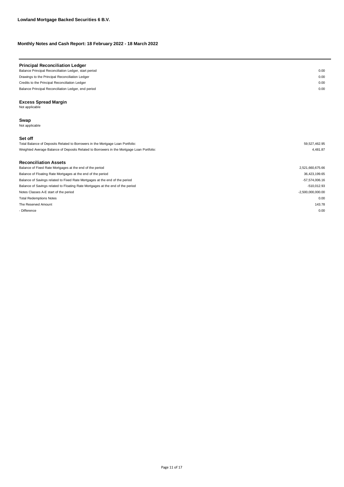| <b>Principal Reconciliation Ledger</b><br>Balance Principal Reconciliation Ledger, start period | 0.00                |
|-------------------------------------------------------------------------------------------------|---------------------|
|                                                                                                 |                     |
| Drawings to the Principal Reconciliation Ledger                                                 | 0.00                |
| Credits to the Principal Reconciliation Ledger                                                  | 0.00                |
| Balance Principal Reconciliation Ledger, end period                                             | 0.00                |
| <b>Excess Spread Margin</b><br>Not applicable                                                   |                     |
| Swap<br>Not applicable                                                                          |                     |
| Set off                                                                                         |                     |
| Total Balance of Deposits Related to Borrowers in the Mortgage Loan Portfolio:                  | 59,527,462.95       |
| Weighted Average Balance of Deposits Related to Borrowers in the Mortgage Loan Portfolio:       | 4,481.87            |
| <b>Reconciliation Assets</b>                                                                    |                     |
| Balance of Fixed Rate Mortgages at the end of the period                                        | 2,521,660,675.66    |
| Balance of Floating Rate Mortgages at the end of the period                                     | 36,423,199.65       |
| Balance of Savings related to Fixed Rate Mortgages at the end of the period                     | $-57,574,006.16$    |
| Balance of Savings related to Floating Rate Mortgages at the end of the period                  | $-510,012.93$       |
| Notes Classes A-E start of the period                                                           | $-2,500,000,000.00$ |
| <b>Total Redemptions Notes</b>                                                                  | 0.00                |

The Reserved Amount 143.78

- Difference 0.00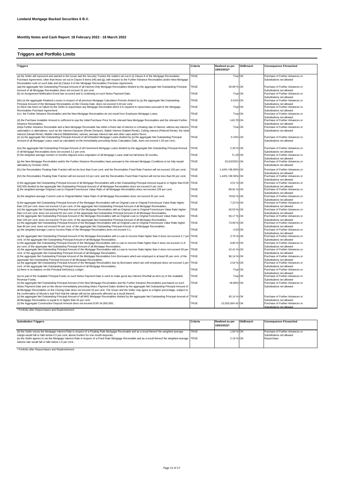# **Triggers and Portfolio Limits**

| <b>Triggers</b>                                                                                                                                                                                                                                                                                                                                                                                          | Criteria     | Realised as per<br>18/03/2022* | Ok/Breach | <b>Consequence if breached</b>                                                            |
|----------------------------------------------------------------------------------------------------------------------------------------------------------------------------------------------------------------------------------------------------------------------------------------------------------------------------------------------------------------------------------------------------------|--------------|--------------------------------|-----------|-------------------------------------------------------------------------------------------|
| (a) the Seller will represent and warrant to the Issuer and the Security Trustee the matters set out in (i) Clause 8 of the Mortgage Receivables<br>Purchase Agreement, other than those set out in Clause 8 items (hh) and (ji), with respect to the Further Advance Receivables and/or New Mortgage<br>Receivables sold on such date and (ii) Clause 9 of the Mortgage Receivables Purchase Agreement; | TRUE         | True OK                        |           | Purchase of Further Advances or<br>Substitutions not allowed                              |
| (aa) the aggregate Net Outstanding Principal Amount of all Interest-Only Mortgage Receivables divided by the aggregate Net Outstanding Principal<br>Amount of all Mortgage Receivables does not exceed 31 per cent;                                                                                                                                                                                      | TRUE         | 30.99 % OK                     |           | Purchase of Further Advances or<br>Substitutions not allowed                              |
| (b) no Assignment Notification Event has occurred and is continuing on such Notes Payment Date;                                                                                                                                                                                                                                                                                                          | TRUE         | True OK                        |           | Purchase of Further Advances or<br>Substitutions not allowed                              |
| (bb) (x) the aggregate Realised Losses in respect of all previous Mortgage Calculation Periods divided by (y) the aggregate Net Outstanding                                                                                                                                                                                                                                                              | TRUE         | 0.01% OK                       |           | Purchase of Further Advances or                                                           |
| Principal Amount of the Mortgage Receivables on the Closing Date, does not exceed 0.40 per cent;<br>(c) there has been no failure by the Seller to repurchase any Mortgage Receivable which it is required to repurchase pursuant to the Mortgage                                                                                                                                                        | <b>TRUE</b>  | True OK                        |           | Substitutions not allowed<br>Purchase of Further Advances or                              |
| Receivables Purchase Agreement;<br>(cc) the Further Advance Receivables and the New Mortgage Receivables do not result from Employee Mortgage Loans;                                                                                                                                                                                                                                                     | TRUE         | True OK                        |           | Substitutions not allowed<br>Purchase of Further Advances or                              |
| (d) the Purchase Available Amount is sufficient to pay the Initial Purchase Price for the relevant New Mortgage Receivables and the relevant Further                                                                                                                                                                                                                                                     | <b>TRUE</b>  | $-143.78$ OK                   |           | Substitutions not allowed<br>Purchase of Further Advances or                              |
| Advance Receivables;<br>(dd)a Further Advance Receivable and a New Mortgage Receivable has either a fixed rate of interest or a floating rate of interest, without any interest<br>optionality's or alternatives, such as the Interest Dampner (Rente Demper), Stable Interest (Stabiel Rente), Ceiling Interest (Plafond Rente), the Ideal                                                              | <b>TRUE</b>  | True OK                        |           | Substitutions not allowed<br>Purchase of Further Advances or<br>Substitutions not allowed |
| Interest (Ideaal Rente). Middle Interest (Middelrente), varirust, average interest rate and other caps and/or floors.                                                                                                                                                                                                                                                                                    |              |                                |           |                                                                                           |
| (e) (x) the aggregate Net Outstanding Principal Amount of all Defaulted Mortgage Loans divided by (y) the aggregate Net Outstanding Principal<br>Amount of all Mortgage Loans, each as calculated on the immediately preceding Notes Calculation Date, does not exceed 1.50 per cent.;                                                                                                                   | <b>TRUE</b>  | 0.10% OK                       |           | Purchase of Further Advances or<br>Substitutions not allowed                              |
| (ee) the aggregate Net Outstanding Principal Amount of all Investment Mortgage Loans divided by the aggregate Net Outstanding Principal Amount                                                                                                                                                                                                                                                           | TRUE         | 2.30 % OK                      |           | Purchase of Further Advances or                                                           |
| of all Mortgage Receivables does not exceed 3.2 per cent;<br>(f) the weighted average number of months elapsed since origination of all Mortgage Loans shall not fall below 30 months;                                                                                                                                                                                                                   | TRUE         | 71.29 OK                       |           | Substitutions not allowed<br>Purchase of Further Advances or                              |
| (g) the New Mortgage Receivables and/or the Further Advance Receivables have pursuant to the relevant Mortgage Conditions to be fully repaid<br>ultimately by October 2053;                                                                                                                                                                                                                              | TRUE         | 01/10/2051 OK                  |           | Substitutions not allowed<br>Purchase of Further Advances or<br>Substitutions not allowed |
| (h1) the Receivables Floating Rate Fraction will not be less than 0 per cent. and the Receivables Fixed Rate Fraction will not exceed 100 per cent;                                                                                                                                                                                                                                                      | TRUE         | 1.44% / 98.56% OK              |           | Purchase of Further Advances or                                                           |
| (h2) the Receivables Floating Rate Fraction will not exceed 10 per cent. and the Receivables Fixed Rate Fraction will not be less than 90 per cent;                                                                                                                                                                                                                                                      | <b>TRUE</b>  | 1.44% / 98.56% OK              |           | Substitutions not allowed<br>Purchase of Further Advances or                              |
| (i) the aggregate Net Outstanding Principal Amount of all Mortgage Receivables with a Net Outstanding Principal Amount equal to or higher than EUR TRUE                                                                                                                                                                                                                                                  |              | 4.51 % OK                      |           | Substitutions not allowed<br>Purchase of Further Advances or                              |
| 500,000 divided by the aggregate Net Outstanding Principal Amount of all Mortgage Receivables does not exceed 5 per cent;<br>(i) the weighted average Original Loan to Original Foreclosure Value Ratio of all Mortgage Receivables does not exceed 109 per cent;                                                                                                                                        | TRUE         | 99.91 % OK                     |           | Substitutions not allowed<br>Purchase of Further Advances or                              |
| (k) the weighted average Current Loan to Original Market Value Ratio of all Mortgage Receivables does not exceed 92 per cent;                                                                                                                                                                                                                                                                            | TRUE         | 78.82 % OK                     |           | Substitutions not allowed<br>Purchase of Further Advances or                              |
| (I) the aggregate Net Outstanding Principal Amount of the Mortgage Receivables with an Original Loan to Original Foreclosure Value Ratio higher                                                                                                                                                                                                                                                          | TRUE         | 7.23 % OK                      |           | Substitutions not allowed<br>Purchase of Further Advances or                              |
| than 120 per cent. does not exceed 13 per cent. of the aggregate Net Outstanding Principal Amount of all Mortgage Receivables;<br>(m) the aggregate Net Outstanding Principal Amount of the Mortgage Receivables with an Original Loan to Original Foreclosure Value Ratio higher                                                                                                                        | TRUE         | 40.53 % OK                     |           | Substitutions not allowed<br>Purchase of Further Advances or                              |
| than 110 per cent. does not exceed 65 per cent. of the aggregate Net Outstanding Principal Amount of all Mortgage Receivables;<br>(n) the aggregate Net Outstanding Principal Amount of the Mortgage Receivables with an Original Loan to Original Foreclosure Value Ratio higher                                                                                                                        | TRUE         | 56.17 % OK                     |           | Substitutions not allowed<br>Purchase of Further Advances or                              |
| than 100 per cent. does not exceed 79 per cent. of the aggregate Net Outstanding Principal Amount of all Mortgage Receivables;<br>(o) the aggregate Net Outstanding Principal Amount of the Mortgage Receivables with an Original Loan to Original Foreclosure Value Ratio higher                                                                                                                        | TRUE         | 73.99 % OK                     |           | Substitutions not allowed<br>Purchase of Further Advances or                              |
| than 90 per cent. does not exceed 94 per cent. of the aggregate Net Outstanding Principal Amount of all Mortgage Receivables;                                                                                                                                                                                                                                                                            | <b>TRUE</b>  |                                |           | Substitutions not allowed                                                                 |
| (p) the weighted average Loan to Income Ratio of the Mortgage Receivables does not exceed 4.1;                                                                                                                                                                                                                                                                                                           |              | 4.03 OK                        |           | Purchase of Further Advances or<br>Substitutions not allowed                              |
| (q) the aggregate Net Outstanding Principal Amount of the Mortgage Receivables with a Loan to Income Ratio higher than 6 does not exceed 3.7 per TRUE<br>cent, of the aggregate Net Outstanding Principal Amount of all Mortgage Receivables:                                                                                                                                                            |              | 3.70 % OK                      |           | Purchase of Further Advances or<br>Substitutions not allowed                              |
| (r) the aggregate Net Outstanding Principal Amount of the Mortgage Receivables with a Loan to Income Ratio higher than 5 does not exceed 11.8<br>per cent. of the aggregate Net Outstanding Principal Amount of all Mortgage Receivables;                                                                                                                                                                | TRUE         | 9.85 % OK                      |           | Purchase of Further Advances or<br>Substitutions not allowed                              |
| (s) the aggregate Net Outstanding Principal Amount of the Mortgage Receivables with a Loan to Income Ratio higher than 4 does not exceed 59 per TRUE<br>cent. of the aggregate Net Outstanding Principal Amount of all Mortgage Receivables;                                                                                                                                                             |              | 42.41 % OK                     |           | Purchase of Further Advances or<br>Substitutions not allowed                              |
| (t) the aggregate Net Outstanding Principal Amount of the Mortgage Receivables from Borrowers which are employed is at least 95 per cent. of the<br>aggregate Net Outstanding Principal Amount of all Mortgage Receivables;                                                                                                                                                                              | <b>ITRUE</b> | 96.14 % OK                     |           | Purchase of Further Advances or<br>Substitutions not allowed                              |
| (u) the aggregate Net Outstanding Principal Amount of the Mortgage Receivables due by Borrowers which are self-employed does not exceed 3 per TRUE<br>cent, of the aggregate Net Outstanding Principal Amount of all Mortgage Receivables:                                                                                                                                                               |              | 2.54 % OK                      |           | Purchase of Further Advances or<br>Substitutions not allowed                              |
| (v) there is no balance on the Principal Deficiency Ledger;                                                                                                                                                                                                                                                                                                                                              | TRUE         | True OK                        |           | Purchase of Further Advances or<br>Substitutions not allowed                              |
| (w) no part of the Available Principal Funds on such Notes Payment Date is used to make good any Interest Shortfall as item (x) of the Available                                                                                                                                                                                                                                                         | <b>TRUE</b>  | True OK                        |           | Purchase of Further Advances or                                                           |
| Revenue Funds;<br>(x) the aggregate Net Outstanding Principal Amount of the New Mortgage Receivables and the Further Advance Receivables purchased on such                                                                                                                                                                                                                                               | <b>TRUE</b>  | 18.66% OK                      |           | Substitutions not allowed<br>Purchase of Further Advances or                              |
| Notes Payment Date and on the eleven immediately preceding Notes Payment Dates divided by the aggregate Net Outstanding Principal Amount of<br>all Mortgage Receivables on the Closing Date does not exceed 20 per cent. The Issuer and the Seller may agree to a higher percentage, subject to                                                                                                          |              |                                |           | Substitutions not allowed                                                                 |
| the confirmation of Moody's and Fitch that the ratings will not be adversely affected as a result thereof:<br>(y) the aggregate Net Outstanding Principal Amount of all NHG Mortgage Receivables divided by the aggregate Net Outstanding Principal Amount of TRUE                                                                                                                                       |              | 45.14 % OK                     |           | Purchase of Further Advances or                                                           |
| all Mortgage Receivables is equal to or higher than 45 per cent:<br>(z) the Aggregate Construction Deposit Amount does not exceed EUR 34,000,000;                                                                                                                                                                                                                                                        | TRUE         | 13,003,004.42 OK               |           | Substitutions not allowed<br>Purchase of Further Advances or                              |
|                                                                                                                                                                                                                                                                                                                                                                                                          |              |                                |           | Substitutions not allowed                                                                 |
| * Portfolio after Repurchases and Replenishment                                                                                                                                                                                                                                                                                                                                                          |              |                                |           |                                                                                           |

| <b>Substitution Triggers</b>                                                                                                                                                                                                                                                                                                                                                                        | <b>Criteria</b> | Realised as per<br>18/03/2022* | Ok/Breach | Consequence if breached                                                    |
|-----------------------------------------------------------------------------------------------------------------------------------------------------------------------------------------------------------------------------------------------------------------------------------------------------------------------------------------------------------------------------------------------------|-----------------|--------------------------------|-----------|----------------------------------------------------------------------------|
| (d) the Seller resets the Mortgage Interest Rate in respect of a Floating Rate Mortgage Receivable and as a result thereof the weighted average<br>margin would fall or falls below 0.5 per cent. above Euribor for one month deposits;<br>(e) the Seller agrees to set the Mortgage Interest Rate in respect of a Fixed Rate Mortgage Receivable and as a result thereof the weighted average TRUE | <b>TRUE</b>     | 1.84 % OK<br>2.16 % OK         |           | Purchase of Further Advances or<br>Substitutions not allowed<br>Repurchase |
| interest rate would fall or falls below 1.0 per cent.;                                                                                                                                                                                                                                                                                                                                              |                 |                                |           |                                                                            |

\* Portfolio after Repurchases and Replenishment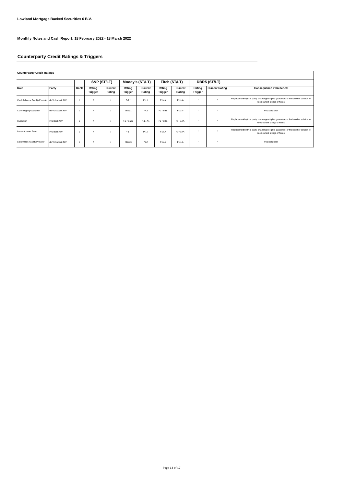# **Counterparty Credit Ratings & Triggers**

**Counterparty Credit Ratings**

|                                                  |                   |      |                          | S&P (ST/LT)       |                   | Moody's (ST/LT)   | Fitch (ST/LT)       |                   |                          | <b>DBRS (ST/LT)</b>   |                                                                                                                         |
|--------------------------------------------------|-------------------|------|--------------------------|-------------------|-------------------|-------------------|---------------------|-------------------|--------------------------|-----------------------|-------------------------------------------------------------------------------------------------------------------------|
| Role                                             | Party             | Rank | Rating<br><b>Trigger</b> | Current<br>Rating | Rating<br>Trigger | Current<br>Rating | Rating<br>Trigger   | Current<br>Rating | Rating<br><b>Trigger</b> | <b>Current Rating</b> | Consequence if breached                                                                                                 |
| Cash Advance Facility Provider de Volksbank N.V. |                   |      |                          |                   | $P-1/$            | $P-1/$            | F1/A                | $F1/A-$           |                          |                       | Replacement by third party; or arrange eligible guarantee; or find another solution to<br>keep current ratings of Notes |
| <b>Commingling Guarantor</b>                     | de Volksbank N.V. |      |                          |                   | /Baa1             | / A2              | F <sub>2</sub> /BBB | $F1/A-$           |                          |                       | Post collateral                                                                                                         |
| Custodian                                        | ING Bank N.V.     |      |                          |                   | $P-2$ / Baa2      | $P-1/A1$          | F <sub>2</sub> /BBB | $F1+ / AA-$       |                          |                       | Replacement by third party; or arrange eligible guarantee; or find another solution to<br>keep current ratings of Notes |
| <b>Issuer Account Bank</b>                       | ING Bank N.V.     |      |                          |                   | $P-1/$            | $P-1/$            | F1/A                | $F1+ / AA-$       |                          |                       | Replacement by third party; or arrange eligible guarantee; or find another solution to<br>keep current ratings of Notes |
| Set-off Risk Facility Provider                   | de Volksbank N.V. |      |                          |                   | /Baa3             | / A2              | F1/A                | $F1/A-$           |                          |                       | Post collateral                                                                                                         |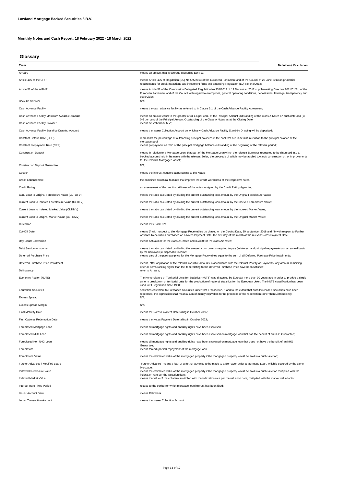**Glossary**

| Term                                               | <b>Definition / Calculation</b>                                                                                                                                                                                                                                                                                                                                                      |
|----------------------------------------------------|--------------------------------------------------------------------------------------------------------------------------------------------------------------------------------------------------------------------------------------------------------------------------------------------------------------------------------------------------------------------------------------|
| Arrears                                            | means an amount that is overdue exceeding EUR 11;                                                                                                                                                                                                                                                                                                                                    |
| Article 405 of the CRR                             | means Article 405 of Regulation (EU) No 575/2013 of the European Parliament and of the Council of 26 June 2013 on prudential                                                                                                                                                                                                                                                         |
| Article 51 of the AIFMR                            | requirements for credit institutions and investment firms and amending Regulation (EU) No 648/2012;<br>means Article 51 of the Commission Delegated Regulation No 231/2013 of 19 December 2012 supplementing Directive 2011/61/EU of the<br>European Parliament and of the Council with regard to exemptions, general operating conditions, depositaries, leverage, transparency and |
| Back-Up Servicer                                   | supervision;<br>N/A;                                                                                                                                                                                                                                                                                                                                                                 |
| Cash Advance Facility                              | means the cash advance facility as referred to in Clause 3.1 of the Cash Advance Facility Agreement;                                                                                                                                                                                                                                                                                 |
| Cash Advance Facility Maximum Available Amount     | means an amount equal to the greater of (i) 1.6 per cent. of the Principal Amount Outstanding of the Class A Notes on such date and (ii)                                                                                                                                                                                                                                             |
| Cash Advance Facility Provider                     | 0.6 per cent of the Principal Amount Outstanding of the Class A Notes as at the Closing Date.<br>means de Volksbank N.V.;                                                                                                                                                                                                                                                            |
| Cash Advance Facility Stand-by Drawing Account     | means the Issuer Collection Account on which any Cash Advance Facility Stand-by Drawing will be deposited;                                                                                                                                                                                                                                                                           |
| Constant Default Rate (CDR)                        | represents the percentage of outstanding principal balances in the pool that are in default in relation to the principal balance of the                                                                                                                                                                                                                                              |
| Constant Prepayment Rate (CPR)                     | mortgage pool;<br>means prepayment as ratio of the principal mortgage balance outstanding at the beginning of the relevant period;                                                                                                                                                                                                                                                   |
| <b>Construction Deposit</b>                        | means in relation to a Mortgage Loan, that part of the Mortgage Loan which the relevant Borrower requested to be disbursed into a<br>blocked account held in his name with the relevant Seller, the proceeds of which may be applied towards construction of, or improvements                                                                                                        |
| <b>Construction Deposit Guarantee</b>              | to, the relevant Mortgaged Asset;<br>N/A;                                                                                                                                                                                                                                                                                                                                            |
| Coupon                                             | means the interest coupons appertaining to the Notes;                                                                                                                                                                                                                                                                                                                                |
| <b>Credit Enhancement</b>                          | the combined structural features that improve the credit worthiness of the respective notes.                                                                                                                                                                                                                                                                                         |
| <b>Credit Rating</b>                               | an assessment of the credit worthiness of the notes assigned by the Credit Rating Agencies;                                                                                                                                                                                                                                                                                          |
| Curr. Loan to Original Foreclosure Value (CLTOFV)  | means the ratio calculated by dividing the current outstanding loan amount by the Orignal Foreclosure Value;                                                                                                                                                                                                                                                                         |
| Current Loan to Indexed Foreclosure Value (CLTIFV) | means the ratio calculated by dividing the current outstanding loan amount by the Indexed Foreclosure Value;                                                                                                                                                                                                                                                                         |
| Current Loan to Indexed Market Value (CLTIMV)      | means the ratio calculated by dividing the current outstanding loan amount by the Indexed Market Value;                                                                                                                                                                                                                                                                              |
| Current Loan to Original Market Value (CLTOMV)     | means the ratio calculated by dividing the current outstanding loan amount by the Original Market Value;                                                                                                                                                                                                                                                                             |
| Custodian                                          | means ING Bank N.V.                                                                                                                                                                                                                                                                                                                                                                  |
| Cut-Off Date                                       | means (i) with respect to the Mortgage Receivables purchased on the Closing Date, 30 september 2018 and (ii) with respect to Further                                                                                                                                                                                                                                                 |
|                                                    | Advance Receivables purchased on a Notes Payment Date, the first day of the month of the relevant Notes Payment Date;                                                                                                                                                                                                                                                                |
| Day Count Convention                               | means Actual/360 for the class A1 notes and 30/360 for the class A2 notes;                                                                                                                                                                                                                                                                                                           |
| Debt Service to Income                             | means the ratio calculated by dividing the amount a borrower is required to pay (in interest and principal repayments) on an annual basis<br>by the borrower(s) disposable income;                                                                                                                                                                                                   |
| Deferred Purchase Price                            | means part of the purchase price for the Mortgage Receivables equal to the sum of all Deferred Purchase Price Instalments;                                                                                                                                                                                                                                                           |
| Deferred Purchase Price Installment                | means, after application of the relevant available amounts in accordance with the relevant Priority of Payments, any amount remaining<br>after all items ranking higher than the item relating to the Deferred Purchase Price have been satisfied;                                                                                                                                   |
| Delinguency                                        | refer to Arrears;                                                                                                                                                                                                                                                                                                                                                                    |
| Economic Region (NUTS)                             | The Nomenclature of Territorial Units for Statistics (NUTS) was drawn up by Eurostat more than 30 years ago in order to provide a single<br>uniform breakdown of territorial units for the production of regional statistics for the European Union. The NUTS classification has been<br>used in EU legislation since 1988;                                                          |
| <b>Equivalent Securities</b>                       | securities equivalent to Purchased Securities under that Transaction. If and to the extent that such Purchased Securities have been<br>redeemed, the expression shall mean a sum of money equivalent to the proceeds of the redemption (other than Distributions);                                                                                                                   |
| <b>Excess Spread</b>                               | N/A;                                                                                                                                                                                                                                                                                                                                                                                 |
| <b>Excess Spread Margin</b>                        | N/A;                                                                                                                                                                                                                                                                                                                                                                                 |
| <b>Final Maturity Date</b>                         | means the Notes Payment Date falling in October 2055;                                                                                                                                                                                                                                                                                                                                |
| First Optional Redemption Date                     | means the Notes Payment Date falling in October 2023;                                                                                                                                                                                                                                                                                                                                |
| Foreclosed Mortgage Loan                           | means all mortgage rights and ancillary rights have been exercised;                                                                                                                                                                                                                                                                                                                  |
| Foreclosed NHG Loan                                | means all mortgage rights and ancillary rights have been exercised on mortgage loan that has the benefit of an NHG Guarantee;                                                                                                                                                                                                                                                        |
| Foreclosed Non NHG Loan                            | means all mortgage rights and ancillary rights have been exercised on mortgage loan that does not have the benefit of an NHG                                                                                                                                                                                                                                                         |
| Foreclosure                                        | Guarantee;<br>means forced (partial) repayment of the mortgage loan;                                                                                                                                                                                                                                                                                                                 |
| Foreclosure Value                                  | means the estimated value of the mortgaged property if the mortgaged property would be sold in a public auction;                                                                                                                                                                                                                                                                     |
| Further Advances / Modified Loans                  | "Further Advance" means a loan or a further advance to be made to a Borrower under a Mortgage Loan, which is secured by the same                                                                                                                                                                                                                                                     |
| Indexed Foreclosure Value                          | Mortgage;<br>means the estimated value of the mortgaged property if the mortgaged property would be sold in a public auction multiplied with the                                                                                                                                                                                                                                     |
| <b>Indexed Market Value</b>                        | indexation rate per the valuation date;<br>means the value of the collateral multiplied with the indexation rate per the valuation date, multiplied with the market value factor;                                                                                                                                                                                                    |
| Interest Rate Fixed Period                         | relates to the period for which mortgage loan interest has been fixed;                                                                                                                                                                                                                                                                                                               |
| <b>Issuer Account Bank</b>                         | means Rabobank.                                                                                                                                                                                                                                                                                                                                                                      |
| <b>Issuer Transaction Account</b>                  | means the Issuer Collection Account.                                                                                                                                                                                                                                                                                                                                                 |
|                                                    |                                                                                                                                                                                                                                                                                                                                                                                      |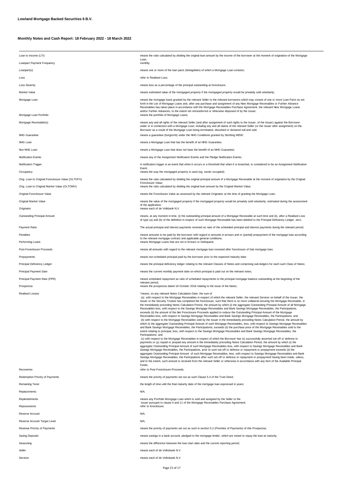| Loan to Income (LTI)                              | means the ratio calculated by dividing the original loan amount by the income of the borrower at the moment of origination of the Mortgage                                                                                                                                                                                                                                                                                                                                                                                                                                                                                                                                                                                                                                                                                                                                                                                                                                                                                                                                                                                                                                                                                                                                                                                                                                                                                                                                                                                                                                                                                                                                                                                                                                                                                                                                                                                                                                                                                                                                                                                                                                                                                                                                                                                                                                                                                                                 |
|---------------------------------------------------|------------------------------------------------------------------------------------------------------------------------------------------------------------------------------------------------------------------------------------------------------------------------------------------------------------------------------------------------------------------------------------------------------------------------------------------------------------------------------------------------------------------------------------------------------------------------------------------------------------------------------------------------------------------------------------------------------------------------------------------------------------------------------------------------------------------------------------------------------------------------------------------------------------------------------------------------------------------------------------------------------------------------------------------------------------------------------------------------------------------------------------------------------------------------------------------------------------------------------------------------------------------------------------------------------------------------------------------------------------------------------------------------------------------------------------------------------------------------------------------------------------------------------------------------------------------------------------------------------------------------------------------------------------------------------------------------------------------------------------------------------------------------------------------------------------------------------------------------------------------------------------------------------------------------------------------------------------------------------------------------------------------------------------------------------------------------------------------------------------------------------------------------------------------------------------------------------------------------------------------------------------------------------------------------------------------------------------------------------------------------------------------------------------------------------------------------------------|
| Loanpart Payment Frequency                        | Loan;<br>monthly;                                                                                                                                                                                                                                                                                                                                                                                                                                                                                                                                                                                                                                                                                                                                                                                                                                                                                                                                                                                                                                                                                                                                                                                                                                                                                                                                                                                                                                                                                                                                                                                                                                                                                                                                                                                                                                                                                                                                                                                                                                                                                                                                                                                                                                                                                                                                                                                                                                          |
| Loanpart(s)                                       | means one or more of the loan parts (leningdelen) of which a Mortgage Loan consists;                                                                                                                                                                                                                                                                                                                                                                                                                                                                                                                                                                                                                                                                                                                                                                                                                                                                                                                                                                                                                                                                                                                                                                                                                                                                                                                                                                                                                                                                                                                                                                                                                                                                                                                                                                                                                                                                                                                                                                                                                                                                                                                                                                                                                                                                                                                                                                       |
| Loss                                              | refer to Realised Loss;                                                                                                                                                                                                                                                                                                                                                                                                                                                                                                                                                                                                                                                                                                                                                                                                                                                                                                                                                                                                                                                                                                                                                                                                                                                                                                                                                                                                                                                                                                                                                                                                                                                                                                                                                                                                                                                                                                                                                                                                                                                                                                                                                                                                                                                                                                                                                                                                                                    |
| <b>Loss Severity</b>                              | means loss as a percentage of the principal outstanding at foreclosure;                                                                                                                                                                                                                                                                                                                                                                                                                                                                                                                                                                                                                                                                                                                                                                                                                                                                                                                                                                                                                                                                                                                                                                                                                                                                                                                                                                                                                                                                                                                                                                                                                                                                                                                                                                                                                                                                                                                                                                                                                                                                                                                                                                                                                                                                                                                                                                                    |
| Market Value                                      | means estimated value of the mortgaged property if the mortgaged property would be privately sold voluntarily;                                                                                                                                                                                                                                                                                                                                                                                                                                                                                                                                                                                                                                                                                                                                                                                                                                                                                                                                                                                                                                                                                                                                                                                                                                                                                                                                                                                                                                                                                                                                                                                                                                                                                                                                                                                                                                                                                                                                                                                                                                                                                                                                                                                                                                                                                                                                             |
| Mortgage Loan                                     | means the mortgage loans granted by the relevant Seller to the relevant borrowers which may consist of one or more Loan Parts as set<br>forth in the List of Mortgage Loans and, after any purchase and assignment of any New Mortgage Receivables or Further Advance<br>Receivables has taken place in accordance with the Mortgage Receivables Purchase Agreement, the relevant New Mortgage Loans<br>and/or Further Advances, to the extent not retransferred or otherwise disposed of by the Issuer;                                                                                                                                                                                                                                                                                                                                                                                                                                                                                                                                                                                                                                                                                                                                                                                                                                                                                                                                                                                                                                                                                                                                                                                                                                                                                                                                                                                                                                                                                                                                                                                                                                                                                                                                                                                                                                                                                                                                                   |
| Mortgage Loan Portfolio                           | means the portfolio of Mortgage Loans;                                                                                                                                                                                                                                                                                                                                                                                                                                                                                                                                                                                                                                                                                                                                                                                                                                                                                                                                                                                                                                                                                                                                                                                                                                                                                                                                                                                                                                                                                                                                                                                                                                                                                                                                                                                                                                                                                                                                                                                                                                                                                                                                                                                                                                                                                                                                                                                                                     |
| Mortgage Receivable(s)                            | means any and all rights of the relevant Seller (and after assignment of such rights to the Issuer, of the Issuer) against the Borrower<br>under or in connection with a Mortgage Loan, including any and all claims of the relevant Seller (or the Issuer after assignment) on the<br>Borrower as a result of the Mortgage Loan being terminated, dissolved or declared null and void;                                                                                                                                                                                                                                                                                                                                                                                                                                                                                                                                                                                                                                                                                                                                                                                                                                                                                                                                                                                                                                                                                                                                                                                                                                                                                                                                                                                                                                                                                                                                                                                                                                                                                                                                                                                                                                                                                                                                                                                                                                                                    |
| <b>NHG Guarantee</b>                              | means a guarantee (borgtocht) under the NHG Conditions granted by Stichting WEW;                                                                                                                                                                                                                                                                                                                                                                                                                                                                                                                                                                                                                                                                                                                                                                                                                                                                                                                                                                                                                                                                                                                                                                                                                                                                                                                                                                                                                                                                                                                                                                                                                                                                                                                                                                                                                                                                                                                                                                                                                                                                                                                                                                                                                                                                                                                                                                           |
| NHG Loan                                          | means a Mortgage Loan that has the benefit of an NHG Guarantee;                                                                                                                                                                                                                                                                                                                                                                                                                                                                                                                                                                                                                                                                                                                                                                                                                                                                                                                                                                                                                                                                                                                                                                                                                                                                                                                                                                                                                                                                                                                                                                                                                                                                                                                                                                                                                                                                                                                                                                                                                                                                                                                                                                                                                                                                                                                                                                                            |
| Non NHG Loan                                      | means a Mortgage Loan that does not have the benefit of an NHG Guarantee;                                                                                                                                                                                                                                                                                                                                                                                                                                                                                                                                                                                                                                                                                                                                                                                                                                                                                                                                                                                                                                                                                                                                                                                                                                                                                                                                                                                                                                                                                                                                                                                                                                                                                                                                                                                                                                                                                                                                                                                                                                                                                                                                                                                                                                                                                                                                                                                  |
| <b>Notification Events</b>                        | means any of the Assignment Notification Events and the Pledge Notification Events;                                                                                                                                                                                                                                                                                                                                                                                                                                                                                                                                                                                                                                                                                                                                                                                                                                                                                                                                                                                                                                                                                                                                                                                                                                                                                                                                                                                                                                                                                                                                                                                                                                                                                                                                                                                                                                                                                                                                                                                                                                                                                                                                                                                                                                                                                                                                                                        |
| <b>Notification Trigger</b>                       | A notification trigger is an event that when it occurs or a threshold that when it is breached, is considered to be an Assignment Notification<br>Event;                                                                                                                                                                                                                                                                                                                                                                                                                                                                                                                                                                                                                                                                                                                                                                                                                                                                                                                                                                                                                                                                                                                                                                                                                                                                                                                                                                                                                                                                                                                                                                                                                                                                                                                                                                                                                                                                                                                                                                                                                                                                                                                                                                                                                                                                                                   |
| Occupancy                                         | means the way the mortgaged property is used (eg. owner occupied);                                                                                                                                                                                                                                                                                                                                                                                                                                                                                                                                                                                                                                                                                                                                                                                                                                                                                                                                                                                                                                                                                                                                                                                                                                                                                                                                                                                                                                                                                                                                                                                                                                                                                                                                                                                                                                                                                                                                                                                                                                                                                                                                                                                                                                                                                                                                                                                         |
| Orig. Loan to Original Foreclosure Value (OLTOFV) | means the ratio calculated by dividing the original principal amount of a Mortgage Receivable at the moment of origination by the Original<br>Foreclosure Value;                                                                                                                                                                                                                                                                                                                                                                                                                                                                                                                                                                                                                                                                                                                                                                                                                                                                                                                                                                                                                                                                                                                                                                                                                                                                                                                                                                                                                                                                                                                                                                                                                                                                                                                                                                                                                                                                                                                                                                                                                                                                                                                                                                                                                                                                                           |
| Orig. Loan to Original Market Value (OLTOMV)      | means the ratio calculated by dividing the original loan amount by the Original Market Value;                                                                                                                                                                                                                                                                                                                                                                                                                                                                                                                                                                                                                                                                                                                                                                                                                                                                                                                                                                                                                                                                                                                                                                                                                                                                                                                                                                                                                                                                                                                                                                                                                                                                                                                                                                                                                                                                                                                                                                                                                                                                                                                                                                                                                                                                                                                                                              |
| Original Foreclosure Value                        | means the Foreclosure Value as assessed by the relevant Originator at the time of granting the Mortgage Loan;                                                                                                                                                                                                                                                                                                                                                                                                                                                                                                                                                                                                                                                                                                                                                                                                                                                                                                                                                                                                                                                                                                                                                                                                                                                                                                                                                                                                                                                                                                                                                                                                                                                                                                                                                                                                                                                                                                                                                                                                                                                                                                                                                                                                                                                                                                                                              |
| Original Market Value<br>Originator               | means the value of the mortgaged property if the mortgaged property would be privately sold voluntarily, estimated during the assessment<br>of the application;<br>means each of de Volkbank N.V.                                                                                                                                                                                                                                                                                                                                                                                                                                                                                                                                                                                                                                                                                                                                                                                                                                                                                                                                                                                                                                                                                                                                                                                                                                                                                                                                                                                                                                                                                                                                                                                                                                                                                                                                                                                                                                                                                                                                                                                                                                                                                                                                                                                                                                                          |
| Outstanding Principal Amount                      | means, at any moment in time, (i) the outstanding principal amount of a Mortgage Receivable at such time and (ii), after a Realised Loss                                                                                                                                                                                                                                                                                                                                                                                                                                                                                                                                                                                                                                                                                                                                                                                                                                                                                                                                                                                                                                                                                                                                                                                                                                                                                                                                                                                                                                                                                                                                                                                                                                                                                                                                                                                                                                                                                                                                                                                                                                                                                                                                                                                                                                                                                                                   |
| Payment Ratio                                     | of type (a) and (b) of the definition in respect of such Mortgage Receivable has been debited to the Principal Deficiency Ledger, zero;                                                                                                                                                                                                                                                                                                                                                                                                                                                                                                                                                                                                                                                                                                                                                                                                                                                                                                                                                                                                                                                                                                                                                                                                                                                                                                                                                                                                                                                                                                                                                                                                                                                                                                                                                                                                                                                                                                                                                                                                                                                                                                                                                                                                                                                                                                                    |
|                                                   | The actual principal and interest payments received as ratio of the scheduled principal and interest payments during the relevant period;                                                                                                                                                                                                                                                                                                                                                                                                                                                                                                                                                                                                                                                                                                                                                                                                                                                                                                                                                                                                                                                                                                                                                                                                                                                                                                                                                                                                                                                                                                                                                                                                                                                                                                                                                                                                                                                                                                                                                                                                                                                                                                                                                                                                                                                                                                                  |
| Penalties<br>Performing Loans                     | means amounts to be paid by the borrower with regard to amounts in arrears and or (partial) prepayment of the mortgage loan according<br>to the relevant mortgage contract and applicable general conditions;<br>means Mortgage Loans that are not in Arrears or Delinquent;                                                                                                                                                                                                                                                                                                                                                                                                                                                                                                                                                                                                                                                                                                                                                                                                                                                                                                                                                                                                                                                                                                                                                                                                                                                                                                                                                                                                                                                                                                                                                                                                                                                                                                                                                                                                                                                                                                                                                                                                                                                                                                                                                                               |
| Post-Foreclosure Proceeds                         | means all amounts with regard to the relevant mortgage loan received after foreclosure of that mortgage loan;                                                                                                                                                                                                                                                                                                                                                                                                                                                                                                                                                                                                                                                                                                                                                                                                                                                                                                                                                                                                                                                                                                                                                                                                                                                                                                                                                                                                                                                                                                                                                                                                                                                                                                                                                                                                                                                                                                                                                                                                                                                                                                                                                                                                                                                                                                                                              |
| Prepayments                                       | means non scheduled principal paid by the borrower prior to the expected maturity date;                                                                                                                                                                                                                                                                                                                                                                                                                                                                                                                                                                                                                                                                                                                                                                                                                                                                                                                                                                                                                                                                                                                                                                                                                                                                                                                                                                                                                                                                                                                                                                                                                                                                                                                                                                                                                                                                                                                                                                                                                                                                                                                                                                                                                                                                                                                                                                    |
| Principal Deficiency Ledger                       | means the principal deficiency ledger relating to the relevant Classes of Notes and comprising sub-ledgers for each such Class of Notes;                                                                                                                                                                                                                                                                                                                                                                                                                                                                                                                                                                                                                                                                                                                                                                                                                                                                                                                                                                                                                                                                                                                                                                                                                                                                                                                                                                                                                                                                                                                                                                                                                                                                                                                                                                                                                                                                                                                                                                                                                                                                                                                                                                                                                                                                                                                   |
| Principal Payment Date                            | means the current monthly payment date on which principal is paid out on the relevant notes;                                                                                                                                                                                                                                                                                                                                                                                                                                                                                                                                                                                                                                                                                                                                                                                                                                                                                                                                                                                                                                                                                                                                                                                                                                                                                                                                                                                                                                                                                                                                                                                                                                                                                                                                                                                                                                                                                                                                                                                                                                                                                                                                                                                                                                                                                                                                                               |
| Principal Payment Rate (PPR)                      | means scheduled repayment as ratio of scheduled repayments to the principal mortgage balance outstanding at the beginning of the                                                                                                                                                                                                                                                                                                                                                                                                                                                                                                                                                                                                                                                                                                                                                                                                                                                                                                                                                                                                                                                                                                                                                                                                                                                                                                                                                                                                                                                                                                                                                                                                                                                                                                                                                                                                                                                                                                                                                                                                                                                                                                                                                                                                                                                                                                                           |
| Prospectus                                        | relevant period;<br>means the prospectus dated 18 October 2018 relating to the issue of the Notes;                                                                                                                                                                                                                                                                                                                                                                                                                                                                                                                                                                                                                                                                                                                                                                                                                                                                                                                                                                                                                                                                                                                                                                                                                                                                                                                                                                                                                                                                                                                                                                                                                                                                                                                                                                                                                                                                                                                                                                                                                                                                                                                                                                                                                                                                                                                                                         |
| <b>Realised Losses</b>                            | "means, on any relevant Notes Calculation Date, the sum of<br>(a) with respect to the Mortgage Receivables in respect of which the relevant Seller, the relevant Servicer on behalf of the Issuer, the<br>Issuer or the Security Trustee has completed the foreclosure, such that there is no more collateral securing the Mortgage Receivable, in<br>the immediately preceding Notes Calculation Period, the amount by which (i) the aggregate Outstanding Principal Amount of all Mortgage<br>Receivables less, with respect to the Savings Mortgage Receivables and Bank Savings Mortgage Receivables, the Participations,<br>exceeds (ii) the amount of the Net Foreclosure Proceeds applied to reduce the Outstanding Principal Amount of the Mortgage<br>Receivables less, with respect to Savings Mortgage Receivables and Bank Savings Mortgage Receivables, the Participations; and<br>(b) with respect to the Mortgage Receivables sold by the Issuer in the immediately preceding Notes Calculation Period, the amount by<br>which (i) the aggregate Outstanding Principal Amount of such Mortgage Receivables, less, with respect to Savings Mortgage Receivables<br>and Bank Savings Mortgage Receivables, the Participations, exceeds (ii) the purchase price of the Mortgage Receivables sold to the<br>extent relating to principal, less, with respect to the Savings Mortgage Receivables and Bank Savings Mortgage Receivables, the<br>Participations; and<br>(c) with respect to the Mortgage Receivables in respect of which the Borrower has (x) successfully asserted set-off or defence to<br>payments or (y) repaid or prepaid any amount in the immediately preceding Notes Calculation Period, the amount by which (i) the<br>aggregate Outstanding Principal Amount of such Mortgage Receivables less, with respect to Savings Mortgage Receivables and Bank<br>Savings Mortgage Receivables, the Participations, prior to such set-off or defence or repayment or prepayment exceeds (ii) the<br>aggregate Outstanding Principal Amount of such Mortgage Receivables, less, with respect to Savings Mortgage Receivables and Bank<br>Savings Mortgage Receivables, the Participations after such set-off or defence or repayment or prepayment having been made, unless,<br>and to the extent, such amount is received from the relevant Seller or otherwise in accordance with any item of the Available Principal<br>Funds; |
| Recoveries                                        | refer to Post-Foreclosure-Proceeds;                                                                                                                                                                                                                                                                                                                                                                                                                                                                                                                                                                                                                                                                                                                                                                                                                                                                                                                                                                                                                                                                                                                                                                                                                                                                                                                                                                                                                                                                                                                                                                                                                                                                                                                                                                                                                                                                                                                                                                                                                                                                                                                                                                                                                                                                                                                                                                                                                        |
| Redemption Priority of Payments                   | means the priority of payments set out as such Clause 5.4 of the Trust Deed;                                                                                                                                                                                                                                                                                                                                                                                                                                                                                                                                                                                                                                                                                                                                                                                                                                                                                                                                                                                                                                                                                                                                                                                                                                                                                                                                                                                                                                                                                                                                                                                                                                                                                                                                                                                                                                                                                                                                                                                                                                                                                                                                                                                                                                                                                                                                                                               |
| <b>Remaining Tenor</b>                            | the length of time until the final maturity date of the mortgage loan expressed in years;                                                                                                                                                                                                                                                                                                                                                                                                                                                                                                                                                                                                                                                                                                                                                                                                                                                                                                                                                                                                                                                                                                                                                                                                                                                                                                                                                                                                                                                                                                                                                                                                                                                                                                                                                                                                                                                                                                                                                                                                                                                                                                                                                                                                                                                                                                                                                                  |
| Replacements                                      | N/A;                                                                                                                                                                                                                                                                                                                                                                                                                                                                                                                                                                                                                                                                                                                                                                                                                                                                                                                                                                                                                                                                                                                                                                                                                                                                                                                                                                                                                                                                                                                                                                                                                                                                                                                                                                                                                                                                                                                                                                                                                                                                                                                                                                                                                                                                                                                                                                                                                                                       |
| Replenishments                                    | means any Portfolio Mortgage Loan which is sold and assigned by the Seller to the<br>Issuer pursuant to clause 6 and 11 of the Mortgage Receivables Purchase Agreement;                                                                                                                                                                                                                                                                                                                                                                                                                                                                                                                                                                                                                                                                                                                                                                                                                                                                                                                                                                                                                                                                                                                                                                                                                                                                                                                                                                                                                                                                                                                                                                                                                                                                                                                                                                                                                                                                                                                                                                                                                                                                                                                                                                                                                                                                                    |
| Repossesions                                      | refer to foreclosure;                                                                                                                                                                                                                                                                                                                                                                                                                                                                                                                                                                                                                                                                                                                                                                                                                                                                                                                                                                                                                                                                                                                                                                                                                                                                                                                                                                                                                                                                                                                                                                                                                                                                                                                                                                                                                                                                                                                                                                                                                                                                                                                                                                                                                                                                                                                                                                                                                                      |
| Reserve Account                                   | N/A;                                                                                                                                                                                                                                                                                                                                                                                                                                                                                                                                                                                                                                                                                                                                                                                                                                                                                                                                                                                                                                                                                                                                                                                                                                                                                                                                                                                                                                                                                                                                                                                                                                                                                                                                                                                                                                                                                                                                                                                                                                                                                                                                                                                                                                                                                                                                                                                                                                                       |
| Reserve Account Target Level                      | N/A;                                                                                                                                                                                                                                                                                                                                                                                                                                                                                                                                                                                                                                                                                                                                                                                                                                                                                                                                                                                                                                                                                                                                                                                                                                                                                                                                                                                                                                                                                                                                                                                                                                                                                                                                                                                                                                                                                                                                                                                                                                                                                                                                                                                                                                                                                                                                                                                                                                                       |
| Revenue Priority of Payments                      | means the priority of payments set out as such in section 5.2 (Priorities of Payments) of this Prospectus;                                                                                                                                                                                                                                                                                                                                                                                                                                                                                                                                                                                                                                                                                                                                                                                                                                                                                                                                                                                                                                                                                                                                                                                                                                                                                                                                                                                                                                                                                                                                                                                                                                                                                                                                                                                                                                                                                                                                                                                                                                                                                                                                                                                                                                                                                                                                                 |
| <b>Saving Deposits</b>                            | means savings in a bank account, pledged to the mortgage lender, which are meant to repay the loan at maturity;                                                                                                                                                                                                                                                                                                                                                                                                                                                                                                                                                                                                                                                                                                                                                                                                                                                                                                                                                                                                                                                                                                                                                                                                                                                                                                                                                                                                                                                                                                                                                                                                                                                                                                                                                                                                                                                                                                                                                                                                                                                                                                                                                                                                                                                                                                                                            |
| Seasoning                                         | means the difference between the loan start date and the current reporting period;                                                                                                                                                                                                                                                                                                                                                                                                                                                                                                                                                                                                                                                                                                                                                                                                                                                                                                                                                                                                                                                                                                                                                                                                                                                                                                                                                                                                                                                                                                                                                                                                                                                                                                                                                                                                                                                                                                                                                                                                                                                                                                                                                                                                                                                                                                                                                                         |
| Seller                                            | means each of de Volksbank N.V.                                                                                                                                                                                                                                                                                                                                                                                                                                                                                                                                                                                                                                                                                                                                                                                                                                                                                                                                                                                                                                                                                                                                                                                                                                                                                                                                                                                                                                                                                                                                                                                                                                                                                                                                                                                                                                                                                                                                                                                                                                                                                                                                                                                                                                                                                                                                                                                                                            |
| Servicer                                          | means each of de Volksbank N.V.                                                                                                                                                                                                                                                                                                                                                                                                                                                                                                                                                                                                                                                                                                                                                                                                                                                                                                                                                                                                                                                                                                                                                                                                                                                                                                                                                                                                                                                                                                                                                                                                                                                                                                                                                                                                                                                                                                                                                                                                                                                                                                                                                                                                                                                                                                                                                                                                                            |

Page 15 of 17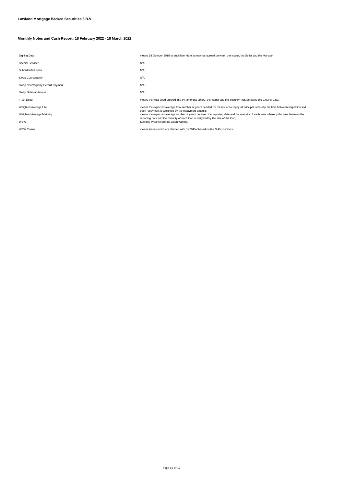| <b>Signing Date</b>               | means 18 October 2018 or such later date as may be agreed between the Issuer, the Seller and the Manager;                                                                                |
|-----------------------------------|------------------------------------------------------------------------------------------------------------------------------------------------------------------------------------------|
| <b>Special Servicer</b>           | N/A;                                                                                                                                                                                     |
| Subordinated Loan                 | N/A;                                                                                                                                                                                     |
| Swap Counterparty                 | N/A;                                                                                                                                                                                     |
| Swap Counterparty Default Payment | N/A;                                                                                                                                                                                     |
| Swap Notional Amount              | N/A:                                                                                                                                                                                     |
| <b>Trust Deed</b>                 | means the trust deed entered into by, amongst others, the Issuer and the Security Trustee dated the Closing Date;                                                                        |
| Weighted Average Life             | means the expected average total number of years needed for the issuer to repay all principal, whereby the time between origination and                                                  |
| Weighted Average Maturity         | each repayment is weighted by the repayment amount;<br>means the expected average number of years between the reporting date and the maturity of each loan, whereby the time between the |
| WEW                               | reporting date and the maturity of each loan is weighted by the size of the loan;<br>Stichting Waarborgfonds Eigen Woning;                                                               |
| <b>WEW Claims</b>                 | means losses which are claimed with the WEW based on the NHG conditions:                                                                                                                 |